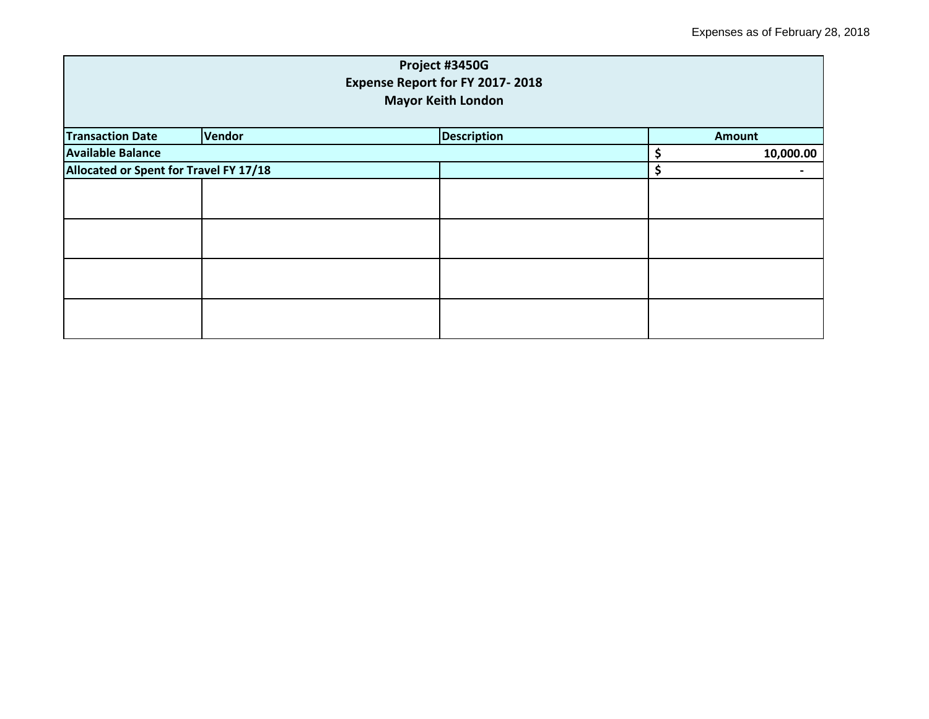| Project #3450G<br>Expense Report for FY 2017-2018<br><b>Mayor Keith London</b> |        |                    |    |               |  |
|--------------------------------------------------------------------------------|--------|--------------------|----|---------------|--|
| <b>Transaction Date</b>                                                        | Vendor | <b>Description</b> |    | <b>Amount</b> |  |
| <b>Available Balance</b>                                                       |        |                    | \$ | 10,000.00     |  |
| Allocated or Spent for Travel FY 17/18                                         |        | \$                 |    |               |  |
|                                                                                |        |                    |    |               |  |
|                                                                                |        |                    |    |               |  |
|                                                                                |        |                    |    |               |  |
|                                                                                |        |                    |    |               |  |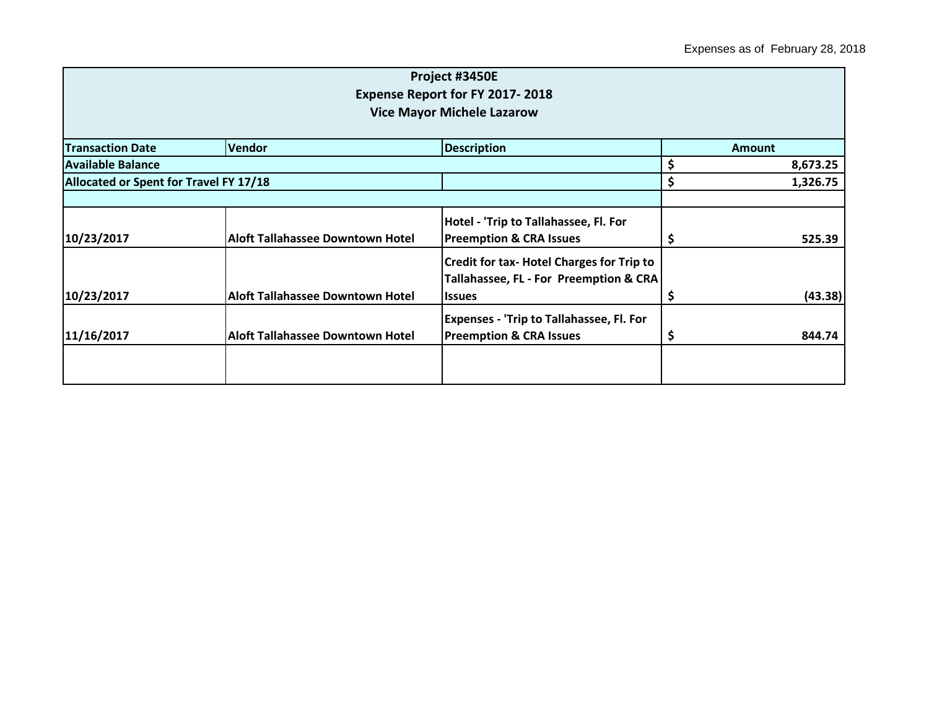|                         |                                         | Project #3450E                                   |               |          |
|-------------------------|-----------------------------------------|--------------------------------------------------|---------------|----------|
|                         |                                         | <b>Expense Report for FY 2017-2018</b>           |               |          |
|                         |                                         | <b>Vice Mayor Michele Lazarow</b>                |               |          |
|                         |                                         |                                                  |               |          |
| <b>Transaction Date</b> | <b>Vendor</b>                           | <b>Description</b>                               | <b>Amount</b> |          |
| Available Balance       |                                         |                                                  | \$            | 8,673.25 |
|                         | Allocated or Spent for Travel FY 17/18  |                                                  | \$            | 1,326.75 |
|                         |                                         |                                                  |               |          |
|                         |                                         | Hotel - 'Trip to Tallahassee, Fl. For            |               |          |
| 10/23/2017              | Aloft Tallahassee Downtown Hotel        | <b>Preemption &amp; CRA Issues</b>               | \$            | 525.39   |
|                         |                                         | <b>Credit for tax- Hotel Charges for Trip to</b> |               |          |
|                         |                                         | Tallahassee, FL - For Preemption & CRA           |               |          |
| 10/23/2017              | <b>Aloft Tallahassee Downtown Hotel</b> | <b>Issues</b>                                    | \$            | (43.38)  |
|                         |                                         | <b>Expenses - 'Trip to Tallahassee, Fl. For</b>  |               |          |
| 11/16/2017              | <b>Aloft Tallahassee Downtown Hotel</b> | <b>Preemption &amp; CRA Issues</b>               | \$,           | 844.74   |
|                         |                                         |                                                  |               |          |
|                         |                                         |                                                  |               |          |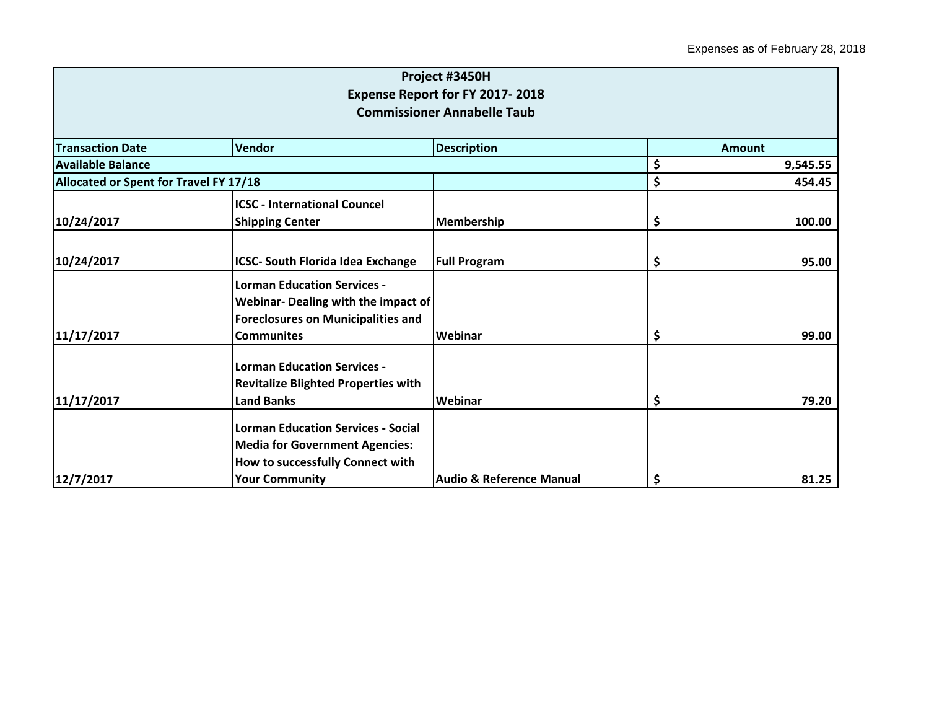|                                               |                                                                                                                                                 | Project #3450H                                                        |               |          |
|-----------------------------------------------|-------------------------------------------------------------------------------------------------------------------------------------------------|-----------------------------------------------------------------------|---------------|----------|
|                                               |                                                                                                                                                 | Expense Report for FY 2017-2018<br><b>Commissioner Annabelle Taub</b> |               |          |
|                                               |                                                                                                                                                 |                                                                       |               |          |
| <b>Transaction Date</b>                       | <b>Vendor</b>                                                                                                                                   | <b>Description</b>                                                    | <b>Amount</b> |          |
| <b>Available Balance</b>                      |                                                                                                                                                 |                                                                       | \$            | 9,545.55 |
| <b>Allocated or Spent for Travel FY 17/18</b> |                                                                                                                                                 | \$<br>454.45                                                          |               |          |
|                                               | <b>ICSC - International Councel</b>                                                                                                             |                                                                       |               |          |
| 10/24/2017                                    | <b>Shipping Center</b>                                                                                                                          | Membership                                                            | \$            | 100.00   |
| 10/24/2017                                    | <b>ICSC- South Florida Idea Exchange</b>                                                                                                        | <b>Full Program</b>                                                   | \$            | 95.00    |
|                                               | <b>Lorman Education Services -</b><br>Webinar- Dealing with the impact of<br><b>Foreclosures on Municipalities and</b>                          |                                                                       |               |          |
| 11/17/2017                                    | <b>Communites</b>                                                                                                                               | Webinar                                                               | \$            | 99.00    |
| 11/17/2017                                    | <b>Lorman Education Services -</b><br><b>Revitalize Blighted Properties with</b><br><b>Land Banks</b>                                           | Webinar                                                               | \$            | 79.20    |
| 12/7/2017                                     | <b>Lorman Education Services - Social</b><br><b>Media for Government Agencies:</b><br>How to successfully Connect with<br><b>Your Community</b> | <b>Audio &amp; Reference Manual</b>                                   | \$            | 81.25    |